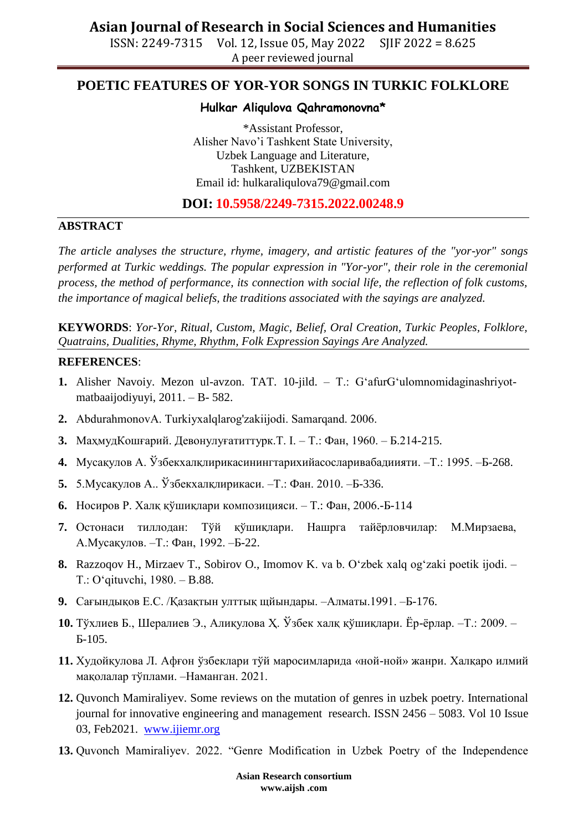ISSN: 2249-7315 Vol. 12, Issue 05, May 2022 SJIF 2022 = 8.625 A peer reviewed journal

## **POETIC FEATURES OF YOR-YOR SONGS IN TURKIC FOLKLORE**

#### **Hulkar Aliqulova Qahramonovna\***

\*Assistant Professor, Alisher Navo"i Tashkent State University, Uzbek Language and Literature, Tashkent, UZBEKISTAN Email id: [hulkaraliqulova79@gmail.com](mailto:hulkaraliqulova79@gmail.com)

### **DOI: 10.5958/2249-7315.2022.00248.9**

#### **ABSTRACT**

*The article analyses the structure, rhyme, imagery, and artistic features of the "yor-yor" songs performed at Turkic weddings. The popular expression in "Yor-yor", their role in the ceremonial process, the method of performance, its connection with social life, the reflection of folk customs, the importance of magical beliefs, the traditions associated with the sayings are analyzed.*

**KEYWORDS**: *Yor-Yor, Ritual, Custom, Magic, Belief, Oral Creation, Turkic Peoples, Folklore, Quatrains, Dualities, Rhyme, Rhythm, Folk Expression Sayings Are Analyzed.*

#### **REFERENCES**:

- **1.** Alisher Navoiy. Mezon ul-avzon. TAT. 10-jild. T.: G"afurG"ulomnomidaginashriyotmatbaaijodiyuyi, 2011. – B- 582.
- **2.** AbdurahmonovА. Turkiyxalqlarog'zakiijodi. Samarqand. 2006.
- **3.** МаҳмудКошғарий. Девонулуғатиттурк.Т. І. Т.: Фан, 1960. Б.214-215.
- **4.** Мусақулов А. Ўзбекхалқлирикасинингтарихийасосларивабадиияти. –Т.: 1995. –Б-268.
- **5.** 5.Мусақулов А.. Ўзбекхалқлирикаси. –Т.: Фан. 2010. –Б-336.
- **6.** Носиров Р. Халқ қўшиқлари композицияси. Т.: Фан, 2006.-Б-114
- **7.** Остонаси тиллодан: Тўй қўшиқлари. Нашрга тайёрловчилар: М.Мирзаева, А.Мусақулов. –Т.: Фан, 1992. –Б-22.
- 8. Razzoqov H., Mirzaev T., Sobirov O., Imomov K. va b. O'zbek xalq og'zaki poetik ijodi. Т.: O"qituvchi, 1980. – B.88.
- **9.** Сағындықов Е.С. /Қазақтын улттық щйындары. –Алматы.1991. –Б-176.
- **10.** Тўхлиев Б., Шералиев Э., Алиқулова Ҳ. Ўзбек халқ қўшиқлари. Ёр-ёрлар. –Т.: 2009. Б-105.
- **11.** Худойқулова Л. Афғон ўзбеклари тўй маросимларида «ной-ной» жанри. Халқаро илмий мақолалар тўплами. –Наманган. 2021.
- **12.** Quvonch Mamiraliyev. Some reviews on the mutation of genres in uzbek poetry. International journal for innovative engineering and management research. ISSN 2456 – 5083. Vol 10 Issue 03, Feb2021. [www.ijiemr.org](http://www.ijiemr.org/)
- **13.** Quvonch Mamiraliyev. 2022. "Genre Modification in Uzbek Poetry of the Independence